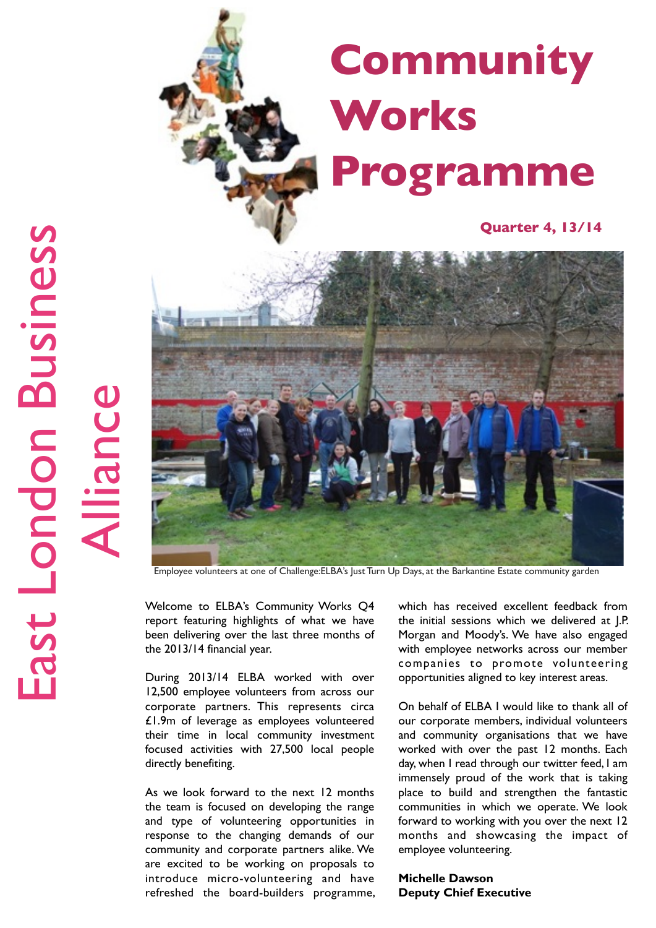

Employee volunteers at one of Challenge:ELBA's Just Turn Up Days, at the Barkantine Estate community garden

Welcome to ELBA's Community Works Q4 report featuring highlights of what we have been delivering over the last three months of the 2013/14 financial year.

During 2013/14 ELBA worked with over 12,500 employee volunteers from across our corporate partners. This represents circa £1.9m of leverage as employees volunteered their time in local community investment focused activities with 27,500 local people directly benefiting.

As we look forward to the next 12 months the team is focused on developing the range and type of volunteering opportunities in response to the changing demands of our community and corporate partners alike. We are excited to be working on proposals to introduce micro-volunteering and have refreshed the board-builders programme, which has received excellent feedback from the initial sessions which we delivered at J.P. Morgan and Moody's. We have also engaged with employee networks across our member companies to promote volunteering opportunities aligned to key interest areas.

On behalf of ELBA I would like to thank all of our corporate members, individual volunteers and community organisations that we have worked with over the past 12 months. Each day, when I read through our twitter feed, I am immensely proud of the work that is taking place to build and strengthen the fantastic communities in which we operate. We look forward to working with you over the next 12 months and showcasing the impact of employee volunteering.

**Michelle Dawson Deputy Chief Executive**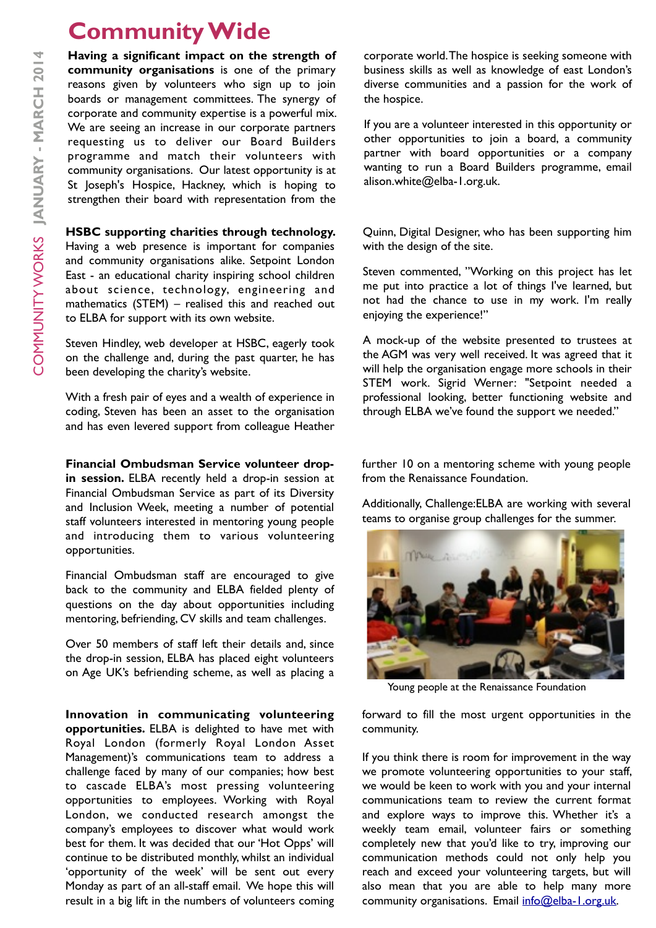# **Community Wide**

**Having a significant impact on the strength of community organisations** is one of the primary reasons given by volunteers who sign up to join boards or management committees. The synergy of corporate and community expertise is a powerful mix. We are seeing an increase in our corporate partners requesting us to deliver our Board Builders programme and match their volunteers with community organisations. Our latest opportunity is at St Joseph's Hospice, Hackney, which is hoping to strengthen their board with representation from the

#### **HSBC supporting charities through technology.**

Having a web presence is important for companies and community organisations alike. Setpoint London East - an educational charity inspiring school children about science, technology, engineering and mathematics (STEM) – realised this and reached out to ELBA for support with its own website.

Steven Hindley, web developer at HSBC, eagerly took on the challenge and, during the past quarter, he has been developing the charity's website.

With a fresh pair of eyes and a wealth of experience in coding, Steven has been an asset to the organisation and has even levered support from colleague Heather

#### **Financial Ombudsman Service volunteer drop-**

**in session.** ELBA recently held a drop-in session at Financial Ombudsman Service as part of its Diversity and Inclusion Week, meeting a number of potential staff volunteers interested in mentoring young people and introducing them to various volunteering opportunities.

Financial Ombudsman staff are encouraged to give back to the community and ELBA fielded plenty of questions on the day about opportunities including mentoring, befriending, CV skills and team challenges.

Over 50 members of staff left their details and, since the drop-in session, ELBA has placed eight volunteers on Age UK's befriending scheme, as well as placing a

**Innovation in communicating volunteering opportunities.** ELBA is delighted to have met with Royal London (formerly Royal London Asset Management)'s communications team to address a challenge faced by many of our companies; how best to cascade ELBA's most pressing volunteering opportunities to employees. Working with Royal London, we conducted research amongst the company's employees to discover what would work best for them. It was decided that our 'Hot Opps' will continue to be distributed monthly, whilst an individual 'opportunity of the week' will be sent out every Monday as part of an all-staff email. We hope this will result in a big lift in the numbers of volunteers coming

corporate world. The hospice is seeking someone with business skills as well as knowledge of east London's diverse communities and a passion for the work of the hospice.

If you are a volunteer interested in this opportunity or other opportunities to join a board, a community partner with board opportunities or a company wanting to run a Board Builders programme, email alison.white@elba-1.org.uk.

Quinn, Digital Designer, who has been supporting him with the design of the site.

Steven commented, "Working on this project has let me put into practice a lot of things I've learned, but not had the chance to use in my work. I'm really enjoying the experience!"

A mock-up of the website presented to trustees at the AGM was very well received. It was agreed that it will help the organisation engage more schools in their STEM work. Sigrid Werner: "Setpoint needed a professional looking, better functioning website and through ELBA we've found the support we needed."

further 10 on a mentoring scheme with young people from the Renaissance Foundation.

Additionally, Challenge:ELBA are working with several teams to organise group challenges for the summer.



Young people at the Renaissance Foundation

forward to fill the most urgent opportunities in the community.

If you think there is room for improvement in the way we promote volunteering opportunities to your staff, we would be keen to work with you and your internal communications team to review the current format and explore ways to improve this. Whether it's a weekly team email, volunteer fairs or something completely new that you'd like to try, improving our communication methods could not only help you reach and exceed your volunteering targets, but will also mean that you are able to help many more community organisations. Email [info@elba-1.org.uk.](mailto:info@elba-1.org.uk)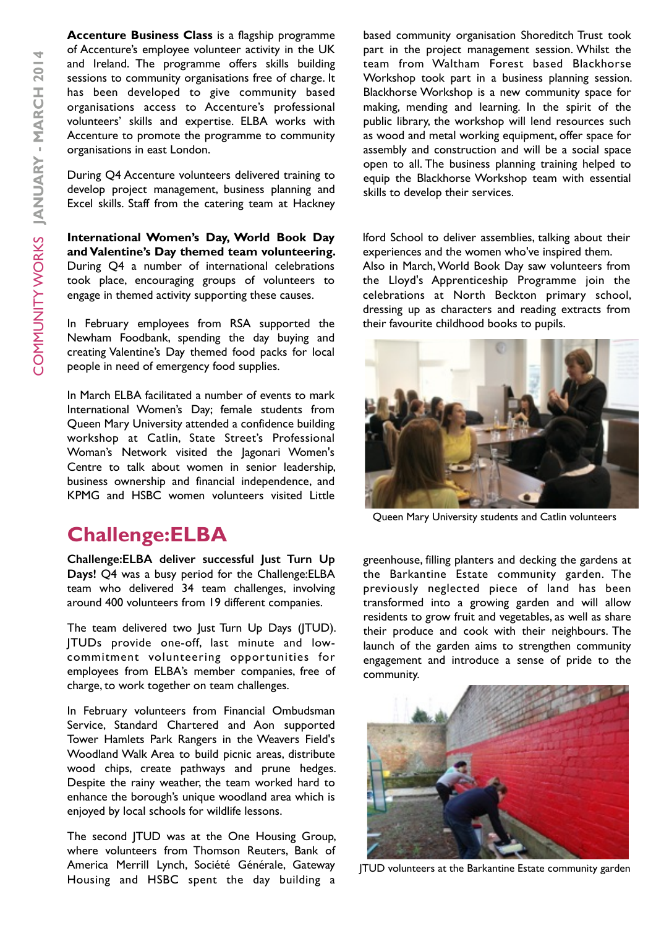**Accenture Business Class** is a flagship programme of Accenture's employee volunteer activity in the UK and Ireland. The programme offers skills building sessions to community organisations free of charge. It has been developed to give community based organisations access to Accenture's professional volunteers' skills and expertise. ELBA works with Accenture to promote the programme to community organisations in east London.

During Q4 Accenture volunteers delivered training to develop project management, business planning and Excel skills. Staff from the catering team at Hackney

**International Women's Day, World Book Day and Valentine's Day themed team volunteering.**  During Q4 a number of international celebrations took place, encouraging groups of volunteers to engage in themed activity supporting these causes.

In February employees from RSA supported the Newham Foodbank, spending the day buying and creating Valentine's Day themed food packs for local people in need of emergency food supplies.

In March ELBA facilitated a number of events to mark International Women's Day; female students from Queen Mary University attended a confidence building workshop at Catlin, State Street's Professional Woman's Network visited the Jagonari Women's Centre to talk about women in senior leadership, business ownership and financial independence, and KPMG and HSBC women volunteers visited Little

### **Challenge:ELBA**

**Challenge:ELBA deliver successful Just Turn Up Days!** Q4 was a busy period for the Challenge:ELBA team who delivered 34 team challenges, involving around 400 volunteers from 19 different companies.

The team delivered two Just Turn Up Days (JTUD). JTUDs provide one-off, last minute and lowcommitment volunteering opportunities for employees from ELBA's member companies, free of charge, to work together on team challenges.

In February volunteers from Financial Ombudsman Service, Standard Chartered and Aon supported Tower Hamlets Park Rangers in the Weavers Field's Woodland Walk Area to build picnic areas, distribute wood chips, create pathways and prune hedges. Despite the rainy weather, the team worked hard to enhance the borough's unique woodland area which is enjoyed by local schools for wildlife lessons.

The second JTUD was at the One Housing Group, where volunteers from Thomson Reuters, Bank of America Merrill Lynch, Société Générale, Gateway Housing and HSBC spent the day building a

based community organisation Shoreditch Trust took part in the project management session. Whilst the team from Waltham Forest based Blackhorse Workshop took part in a business planning session. Blackhorse Workshop is a new community space for making, mending and learning. In the spirit of the public library, the workshop will lend resources such as wood and metal working equipment, offer space for assembly and construction and will be a social space open to all. The business planning training helped to equip the Blackhorse Workshop team with essential skills to develop their services.

lford School to deliver assemblies, talking about their experiences and the women who've inspired them. Also in March, World Book Day saw volunteers from the Lloyd's Apprenticeship Programme join the celebrations at North Beckton primary school, dressing up as characters and reading extracts from their favourite childhood books to pupils.



Queen Mary University students and Catlin volunteers

greenhouse, filling planters and decking the gardens at the Barkantine Estate community garden. The previously neglected piece of land has been transformed into a growing garden and will allow residents to grow fruit and vegetables, as well as share their produce and cook with their neighbours. The launch of the garden aims to strengthen community engagement and introduce a sense of pride to the community.



JTUD volunteers at the Barkantine Estate community garden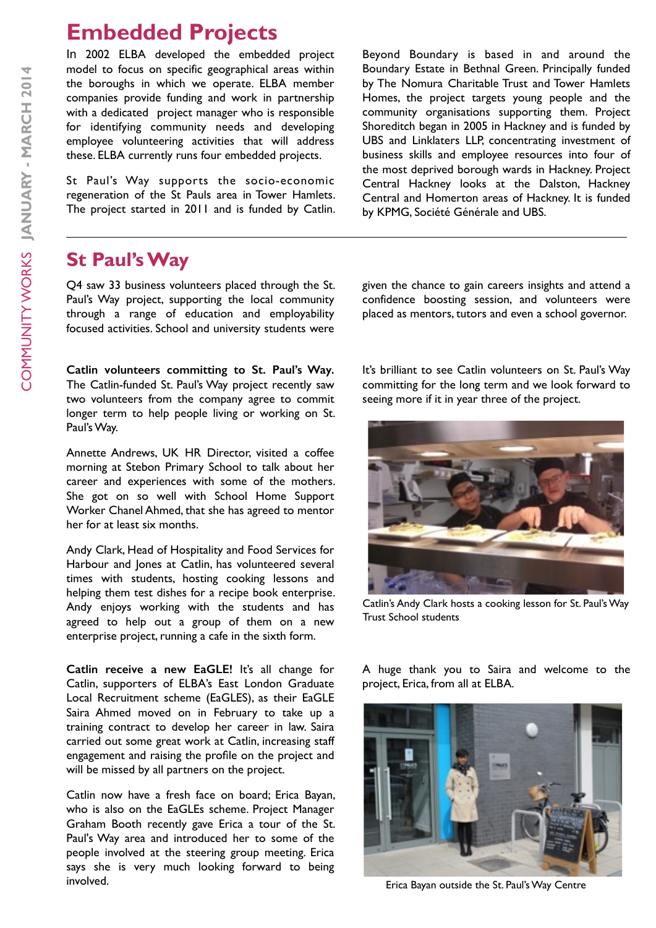# **Embedded Projects**

In 2002 ELBA developed the embedded project model to focus on specific geographical areas within the boroughs in which we operate. ELBA member companies provide funding and work in partnership with a dedicated project manager who is responsible for identifying community needs and developing employee volunteering activities that will address these. ELBA currently runs four embedded projects.

St Paul's Way supports the socio-economic regeneration of the St Pauls area in Tower Hamlets. The project started in 2011 and is funded by Catlin.

### **St Paul's Way**

Q4 saw 33 business volunteers placed through the St. Paul's Way project, supporting the local community through a range of education and employability focused activities. School and university students were

**Catlin volunteers committing to St. Paul's Way.**  The Catlin-funded St. Paul's Way project recently saw two volunteers from the company agree to commit longer term to help people living or working on St. Paul's Way.

Annette Andrews, UK HR Director, visited a coffee morning at Stebon Primary School to talk about her career and experiences with some of the mothers. She got on so well with School Home Support Worker Chanel Ahmed, that she has agreed to mentor her for at least six months.

Andy Clark, Head of Hospitality and Food Services for Harbour and Jones at Catlin, has volunteered several times with students, hosting cooking lessons and helping them test dishes for a recipe book enterprise. Andy enjoys working with the students and has agreed to help out a group of them on a new enterprise project, running a cafe in the sixth form.

**Catlin receive a new EaGLE!** It's all change for Catlin, supporters of ELBA's East London Graduate Local Recruitment scheme (EaGLES), as their EaGLE Saira Ahmed moved on in February to take up a training contract to develop her career in law. Saira carried out some great work at Catlin, increasing staff engagement and raising the profile on the project and will be missed by all partners on the project.

Catlin now have a fresh face on board; Erica Bayan, who is also on the EaGLEs scheme. Project Manager Graham Booth recently gave Erica a tour of the St. Paul's Way area and introduced her to some of the people involved at the steering group meeting. Erica says she is very much looking forward to being involved.

Beyond Boundary is based in and around the Boundary Estate in Bethnal Green. Principally funded by The Nomura Charitable Trust and Tower Hamlets Homes, the project targets young people and the community organisations supporting them. Project Shoreditch began in 2005 in Hackney and is funded by UBS and Linklaters LLP, concentrating investment of business skills and employee resources into four of the most deprived borough wards in Hackney. Project Central Hackney looks at the Dalston, Hackney Central and Homerton areas of Hackney. It is funded by KPMG, Société Générale and UBS.

given the chance to gain careers insights and attend a confidence boosting session, and volunteers were placed as mentors, tutors and even a school governor.

It's brilliant to see Catlin volunteers on St. Paul's Way committing for the long term and we look forward to seeing more if it in year three of the project.



Catlin's Andy Clark hosts a cooking lesson for St. Paul's Way Trust School students

A huge thank you to Saira and welcome to the project, Erica, from all at ELBA.



Erica Bayan outside the St. Paul's Way Centre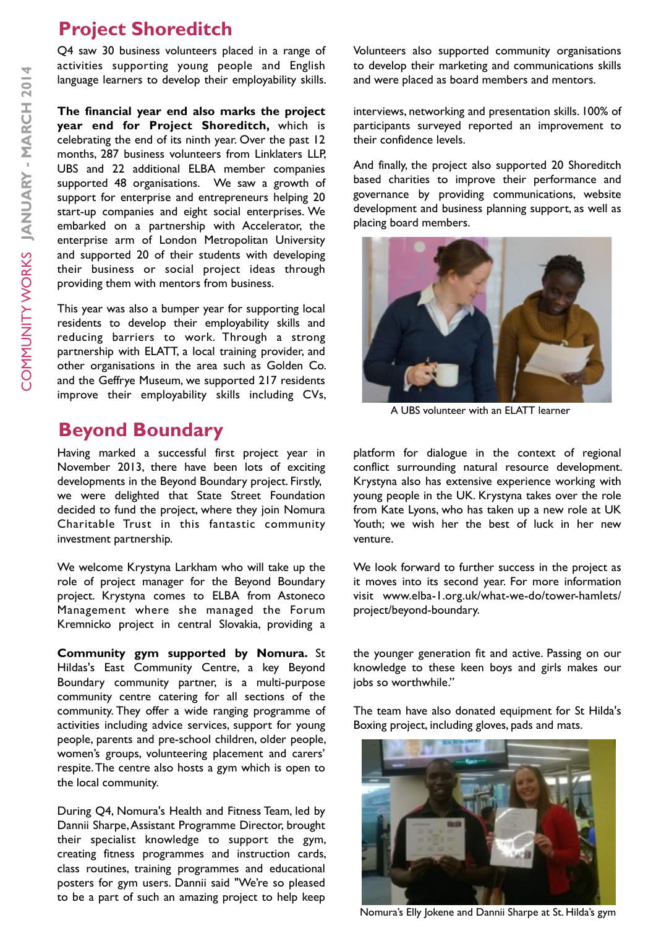## **Project Shoreditch**

Q4 saw 30 business volunteers placed in a range of activities supporting young people and English language learners to develop their employability skills.

**The financial year end also marks the project year end for Project Shoreditch,** which is celebrating the end of its ninth year. Over the past 12 months, 287 business volunteers from Linklaters LLP, UBS and 22 additional ELBA member companies supported 48 organisations. We saw a growth of support for enterprise and entrepreneurs helping 20 start-up companies and eight social enterprises. We embarked on a partnership with Accelerator, the enterprise arm of London Metropolitan University and supported 20 of their students with developing their business or social project ideas through providing them with mentors from business.

This year was also a bumper year for supporting local residents to develop their employability skills and reducing barriers to work. Through a strong partnership with ELATT, a local training provider, and other organisations in the area such as Golden Co. and the Geffrye Museum, we supported 217 residents improve their employability skills including CVs,

## **Beyond Boundary**

Having marked a successful first project year in November 2013, there have been lots of exciting developments in the Beyond Boundary project. Firstly, we were delighted that State Street Foundation decided to fund the project, where they join Nomura Charitable Trust in this fantastic community investment partnership.

We welcome Krystyna Larkham who will take up the role of project manager for the Beyond Boundary project. Krystyna comes to ELBA from Astoneco Management where she managed the Forum Kremnicko project in central Slovakia, providing a

**Community gym supported by Nomura.** St Hildas's East Community Centre, a key Beyond Boundary community partner, is a multi-purpose community centre catering for all sections of the community. They offer a wide ranging programme of activities including advice services, support for young people, parents and pre-school children, older people, women's groups, volunteering placement and carers' respite. The centre also hosts a gym which is open to the local community.

During Q4, Nomura's Health and Fitness Team, led by Dannii Sharpe, Assistant Programme Director, brought their specialist knowledge to support the gym, creating fitness programmes and instruction cards, class routines, training programmes and educational posters for gym users. Dannii said "We're so pleased to be a part of such an amazing project to help keep

Volunteers also supported community organisations to develop their marketing and communications skills and were placed as board members and mentors.

interviews, networking and presentation skills. 100% of participants surveyed reported an improvement to their confidence levels.

And finally, the project also supported 20 Shoreditch based charities to improve their performance and governance by providing communications, website development and business planning support, as well as placing board members.



A UBS volunteer with an ELATT learner

platform for dialogue in the context of regional conflict surrounding natural resource development. Krystyna also has extensive experience working with young people in the UK. Krystyna takes over the role from Kate Lyons, who has taken up a new role at UK Youth; we wish her the best of luck in her new venture.

We look forward to further success in the project as it moves into its second year. For more information visit www.elba-1.org.uk/what-we-do/tower-hamlets/ project/beyond-boundary.

the younger generation fit and active. Passing on our knowledge to these keen boys and girls makes our jobs so worthwhile."

The team have also donated equipment for St Hilda's Boxing project, including gloves, pads and mats.



Nomura's Elly Jokene and Dannii Sharpe at St. Hilda's gym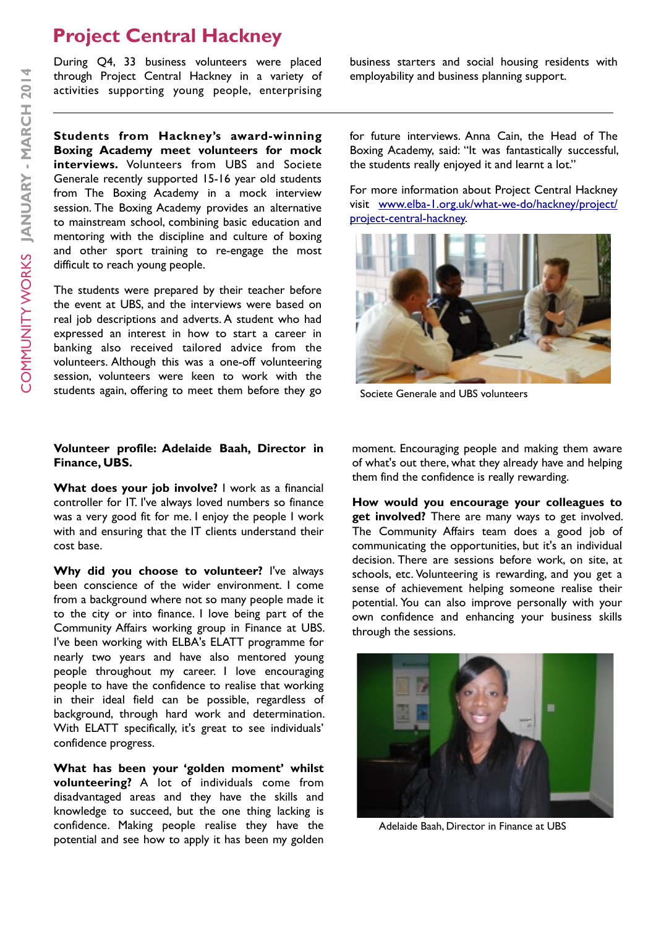## **Project Central Hackney**

During Q4, 33 business volunteers were placed through Project Central Hackney in a variety of activities supporting young people, enterprising

**Students from Hackney's award-winning Boxing Academy meet volunteers for mock interviews.** Volunteers from UBS and Societe Generale recently supported 15-16 year old students from The Boxing Academy in a mock interview session. The Boxing Academy provides an alternative to mainstream school, combining basic education and mentoring with the discipline and culture of boxing and other sport training to re-engage the most difficult to reach young people.

The students were prepared by their teacher before the event at UBS, and the interviews were based on real job descriptions and adverts. A student who had expressed an interest in how to start a career in banking also received tailored advice from the volunteers. Although this was a one-off volunteering session, volunteers were keen to work with the students again, offering to meet them before they go

### **Volunteer profile: Adelaide Baah, Director in Finance, UBS.**

**What does your job involve?** I work as a financial controller for IT. I've always loved numbers so finance was a very good fit for me. I enjoy the people I work with and ensuring that the IT clients understand their cost base.

**Why did you choose to volunteer?** I've always been conscience of the wider environment. I come from a background where not so many people made it to the city or into finance. I love being part of the Community Affairs working group in Finance at UBS. I've been working with ELBA's ELATT programme for nearly two years and have also mentored young people throughout my career. I love encouraging people to have the confidence to realise that working in their ideal field can be possible, regardless of background, through hard work and determination. With ELATT specifically, it's great to see individuals' confidence progress.

**What has been your 'golden moment' whilst volunteering?** A lot of individuals come from disadvantaged areas and they have the skills and knowledge to succeed, but the one thing lacking is confidence. Making people realise they have the potential and see how to apply it has been my golden

business starters and social housing residents with employability and business planning support.

for future interviews. Anna Cain, the Head of The Boxing Academy, said: "It was fantastically successful, the students really enjoyed it and learnt a lot."

For more information about Project Central Hackney [visit www.elba-1.org.uk/what-we-do/hackney/project/](http://www.elba-1.org.uk/what-we-do/hackney/project/project-central-hackney) project-central-hackney.



Societe Generale and UBS volunteers

moment. Encouraging people and making them aware of what's out there, what they already have and helping them find the confidence is really rewarding.

**How would you encourage your colleagues to get involved?** There are many ways to get involved. The Community Affairs team does a good job of communicating the opportunities, but it's an individual decision. There are sessions before work, on site, at schools, etc. Volunteering is rewarding, and you get a sense of achievement helping someone realise their potential. You can also improve personally with your own confidence and enhancing your business skills through the sessions.



Adelaide Baah, Director in Finance at UBS